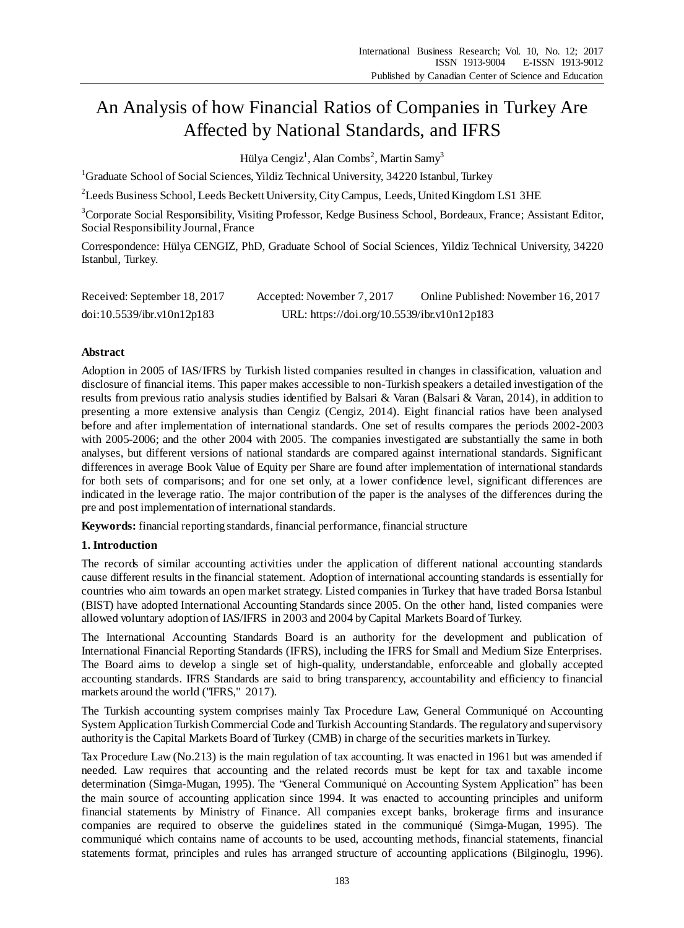# An Analysis of how Financial Ratios of Companies in Turkey Are Affected by National Standards, and IFRS

Hülya Cengiz<sup>1</sup>, Alan Combs<sup>2</sup>, Martin Samy<sup>3</sup>

<sup>1</sup>Graduate School of Social Sciences, Yildiz Technical University, 34220 Istanbul, Turkey

 $^{2}$ Leeds Business School, Leeds Beckett University, City Campus, Leeds, United Kingdom LS1 3HE

<sup>3</sup>Corporate Social Responsibility, Visiting Professor, Kedge Business School, Bordeaux, France; Assistant Editor, Social Responsibility Journal, France

Correspondence: Hülya CENGIZ, PhD, Graduate School of Social Sciences, Yildiz Technical University, 34220 Istanbul, Turkey.

| Received: September 18, 2017 | Accepted: November 7, 2017                  | Online Published: November 16, 2017 |
|------------------------------|---------------------------------------------|-------------------------------------|
| doi:10.5539/ibr.v10n12p183   | URL: https://doi.org/10.5539/ibr.v10n12p183 |                                     |

# **Abstract**

Adoption in 2005 of IAS/IFRS by Turkish listed companies resulted in changes in classification, valuation and disclosure of financial items. This paper makes accessible to non-Turkish speakers a detailed investigation of the results from previous ratio analysis studies identified by Balsari & Varan (Balsari & Varan, 2014), in addition to presenting a more extensive analysis than Cengiz (Cengiz, 2014). Eight financial ratios have been analysed before and after implementation of international standards. One set of results compares the periods 2002-2003 with 2005-2006; and the other 2004 with 2005. The companies investigated are substantially the same in both analyses, but different versions of national standards are compared against international standards. Significant differences in average Book Value of Equity per Share are found after implementation of international standards for both sets of comparisons; and for one set only, at a lower confidence level, significant differences are indicated in the leverage ratio. The major contribution of the paper is the analyses of the differences during the pre and post implementation of international standards.

**Keywords:** financial reporting standards, financial performance, financial structure

# **1. Introduction**

The records of similar accounting activities under the application of different national accounting standards cause different results in the financial statement. Adoption of international accounting standards is essentially for countries who aim towards an open market strategy. Listed companies in Turkey that have traded Borsa Istanbul (BIST) have adopted International Accounting Standards since 2005. On the other hand, listed companies were allowed voluntary adoption of IAS/IFRS in 2003 and 2004 by Capital Markets Board of Turkey.

The International Accounting Standards Board is an authority for the development and publication of International Financial Reporting Standards (IFRS), including the IFRS for Small and Medium Size Enterprises. The Board aims to develop a single set of high-quality, understandable, enforceable and globally accepted accounting standards. IFRS Standards are said to bring transparency, accountability and efficiency to financial markets around the world [\("IFRS," 2017\)](#page-7-0).

The Turkish accounting system comprises mainly Tax Procedure Law, General Communiqué on Accounting System Application Turkish Commercial Code and Turkish Accounting Standards. The regulatory and supervisory authority is the Capital Markets Board of Turkey (CMB) in charge of the securities markets in Turkey.

Tax Procedure Law (No.213) is the main regulation of tax accounting. It was enacted in 1961 but was amended if needed. Law requires that accounting and the related records must be kept for tax and taxable income determination [\(Simga-Mugan, 1995\)](#page-7-1). The "General Communiqué on Accounting System Application" has been the main source of accounting application since 1994. It was enacted to accounting principles and uniform financial statements by Ministry of Finance. All companies except banks, brokerage firms and insurance companies are required to observe the guidelines stated in the communiqué [\(Simga-Mugan, 1995\)](#page-7-1). The [communiqué](http://tureng.com/search/communique) which contains name of accounts to be used, accounting methods, financial statements, financial statements format, principles and rules has arranged structure of accounting applications [\(Bilginoglu, 1996\)](#page-6-0).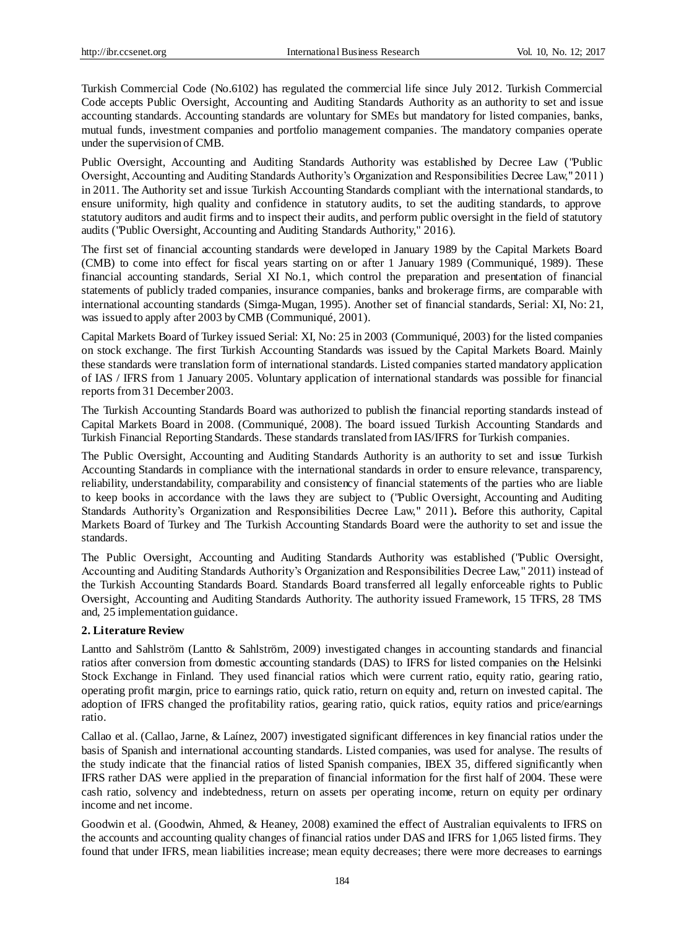Turkish Commercial Code (No.6102) has regulated the commercial life since July 2012. Turkish Commercial Code accepts Public Oversight, Accounting and Auditing Standards Authority as an authority to set and issue accounting standards. Accounting standards are voluntary for SMEs but mandatory for listed companies, banks, mutual funds, investment companies and portfolio management companies. The mandatory companies operate under the supervision of CMB.

Public Oversight, Accounting and Auditing Standards Authority was established by Decree Law [\("Public](#page-7-2)  [Oversight, Accounting and Auditing Standards Authority's Organization and Responsibilities Decree Law," 2011\)](#page-7-2) in 2011. The Authority set and issue Turkish Accounting Standards compliant with the international standards, to ensure uniformity, high quality and confidence in statutory audits, to set the auditing standards, to approve statutory auditors and audit firms and to inspect their audits, and perform public oversight in the field of statutory audits [\("Public Oversight, Accounting and Auditing Standards Authority," 2016](#page-7-3)).

The first set of financial accounting standards were developed in January 1989 by the Capital Markets Board (CMB) to come into effect for fiscal years starting on or after 1 January 1989 [\(Communiqué, 1989\)](#page-7-4). These financial accounting standards, Serial XI No.1, which control the preparation and presentation of financial statements of publicly traded companies, insurance companies, banks and brokerage firms, are comparable with international accounting standards [\(Simga-Mugan, 1995\)](#page-7-1). Another set of financial standards, Serial: XI, No: 21, was issued to apply after 2003 by CMB [\(Communiqué, 2001\)](#page-7-5).

Capital Markets Board of Turkey issued Serial: XI, No: 25 in 2003 [\(Communiqué, 2003\)](#page-7-6) for the listed companies on stock exchange. The first Turkish Accounting Standards was issued by the Capital Markets Board. Mainly these standards were translation form of international standards. Listed companies started mandatory application of IAS / IFRS from 1 January 2005. Voluntary application of international standards was possible for financial reports from 31 December 2003.

The Turkish Accounting Standards Board was authorized to publish the financial reporting standards instead of Capital Markets Board in 2008. [\(Communiqué, 2008\)](#page-7-7). The board issued Turkish Accounting Standards and Turkish Financial Reporting Standards. These standards translated from IAS/IFRS for Turkish companies.

The Public Oversight, Accounting and Auditing Standards Authority is an authority to set and issue Turkish Accounting Standards in compliance with the international standards in order to ensure relevance, transparency, reliability, understandability, comparability and consistency of financial statements of the parties who are liable to keep books in accordance with the laws they are subject to [\("Public Oversight, Accounting and Auditing](#page-7-2)  [Standards Authority's Organization and Responsibilities Decree Law," 2011\)](#page-7-2)**.** Before this authority, Capital Markets Board of Turkey and The Turkish Accounting Standards Board were the authority to set and issue the standards.

The Public Oversight, Accounting and Auditing Standards Authority was established [\("Public Oversight,](#page-7-2)  [Accounting and Auditing Standards Authority's Organization and Responsibilities Decree Law," 2011\)](#page-7-2) instead of the Turkish Accounting Standards Board. Standards Board transferred all legally enforceable rights to Public Oversight, Accounting and Auditing Standards Authority. The authority issued Framework, 15 TFRS, 28 TMS and, 25 implementation guidance.

### **2. Literature Review**

Lantto and Sahlström [\(Lantto & Sahlström, 2009\)](#page-7-8) investigated changes in accounting standards and financial ratios after conversion from domestic accounting standards (DAS) to IFRS for listed companies on the Helsinki Stock Exchange in Finland. They used financial ratios which were current ratio, equity ratio, gearing ratio, operating profit margin, price to earnings ratio, quick ratio, return on equity and, return on invested capital. The adoption of IFRS changed the profitability ratios, gearing ratio, quick ratios, equity ratios and price/earnings ratio.

Callao et al. (Callao, Jarne, & La nez, 2007) investigated significant differences in key financial ratios under the basis of Spanish and international accounting standards. Listed companies, was used for analyse. The results of the study indicate that the financial ratios of listed Spanish companies, IBEX 35, differed significantly when IFRS rather DAS were applied in the preparation of financial information for the first half of 2004. These were cash ratio, solvency and indebtedness, return on assets per operating income, return on equity per ordinary income and net income.

Goodwin et al. [\(Goodwin, Ahmed, & Heaney, 2008\)](#page-7-9) examined the effect of Australian equivalents to IFRS on the accounts and accounting quality changes of financial ratios under DAS and IFRS for 1,065 listed firms. They found that under IFRS, mean liabilities increase; mean equity decreases; there were more decreases to earnings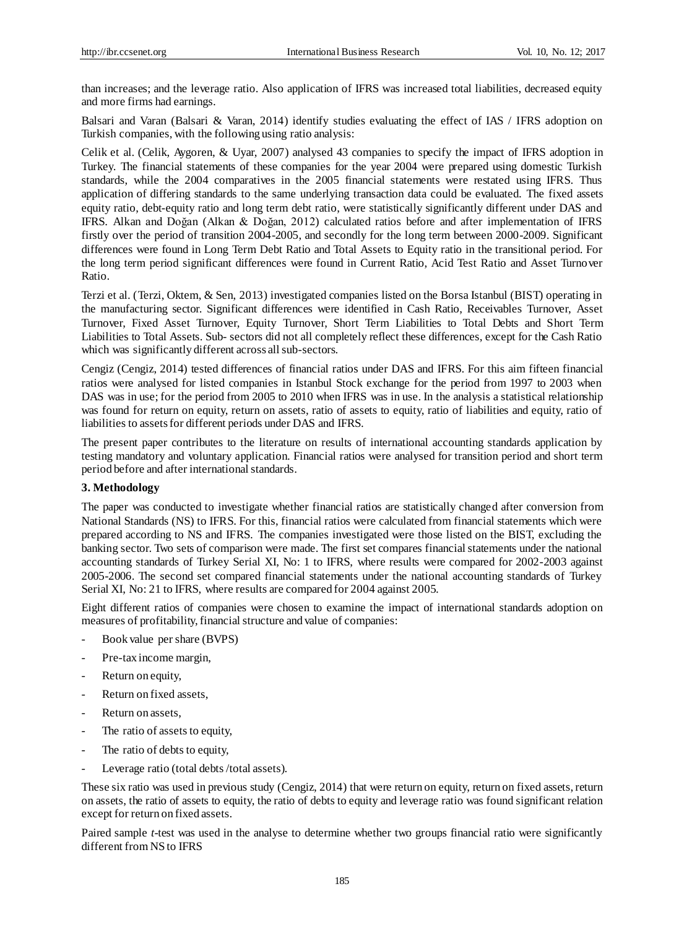than increases; and the leverage ratio. Also application of IFRS was increased total liabilities, decreased equity and more firms had earnings.

Balsari and Varan [\(Balsari & Varan, 2014\)](#page-6-2) identify studies evaluating the effect of IAS / IFRS adoption on Turkish companies, with the following using ratio analysis:

Celik et al. [\(Celik, Aygoren, & Uyar, 2007\)](#page-6-3) analysed 43 companies to specify the impact of IFRS adoption in Turkey. The financial statements of these companies for the year 2004 were prepared using domestic Turkish standards, while the 2004 comparatives in the 2005 financial statements were restated using IFRS. Thus application of differing standards to the same underlying transaction data could be evaluated. The fixed assets equity ratio, debt-equity ratio and long term debt ratio, were statistically significantly different under DAS and IFRS. Alkan and Doğan [\(Alkan & Doğan, 2012\)](#page-6-4) calculated ratios before and after implementation of IFRS firstly over the period of transition 2004-2005, and secondly for the long term between 2000-2009. Significant differences were found in Long Term Debt Ratio and Total Assets to Equity ratio in the transitional period. For the long term period significant differences were found in Current Ratio, Acid Test Ratio and Asset Turnover Ratio.

Terzi et al. [\(Terzi, Oktem, & Sen, 2013\)](#page-7-10) investigated companies listed on the Borsa Istanbul (BIST) operating in the manufacturing sector. Significant differences were identified in Cash Ratio, Receivables Turnover, Asset Turnover, Fixed Asset Turnover, Equity Turnover, Short Term Liabilities to Total Debts and Short Term Liabilities to Total Assets. Sub- sectors did not all completely reflect these differences, except for the Cash Ratio which was significantly different across all sub-sectors.

Cengiz [\(Cengiz, 2014\)](#page-7-11) tested differences of financial ratios under DAS and IFRS. For this aim fifteen financial ratios were analysed for listed companies in Istanbul Stock exchange for the period from 1997 to 2003 when DAS was in use; for the period from 2005 to 2010 when IFRS was in use. In the analysis a statistical relationship was found for return on equity, return on assets, ratio of assets to equity, ratio of liabilities and equity, ratio of liabilities to assets for different periods under DAS and IFRS.

The present paper contributes to the literature on results of international accounting standards application by testing mandatory and voluntary application. Financial ratios were analysed for transition period and short term period before and after international standards.

### **3. Methodology**

The paper was conducted to investigate whether financial ratios are statistically changed after conversion from National Standards (NS) to IFRS. For this, financial ratios were calculated from financial statements which were prepared according to NS and IFRS. The companies investigated were those listed on the BIST, excluding the banking sector. Two sets of comparison were made. The first set compares financial statements under the national accounting standards of Turkey Serial XI, No: 1 to IFRS, where results were compared for 2002-2003 against 2005-2006. The second set compared financial statements under the national accounting standards of Turkey Serial XI, No: 21 to IFRS, where results are compared for 2004 against 2005.

Eight different ratios of companies were chosen to examine the impact of international standards adoption on measures of profitability, financial structure and value of companies:

- Book value per share (BVPS)
- Pre-tax income margin,
- Return on equity,
- Return on fixed assets,
- Return on assets,
- The ratio of assets to equity,
- The ratio of debts to equity,
- Leverage ratio (total debts /total assets).

These six ratio was used in previous study [\(Cengiz, 2014\)](#page-7-11) that were return on equity, return on fixed assets, return on assets, the ratio of assets to equity, the ratio of debts to equity and leverage ratio was found significant relation except for return on fixed assets.

Paired sample *t*-test was used in the analyse to determine whether two groups financial ratio were significantly different from NS to IFRS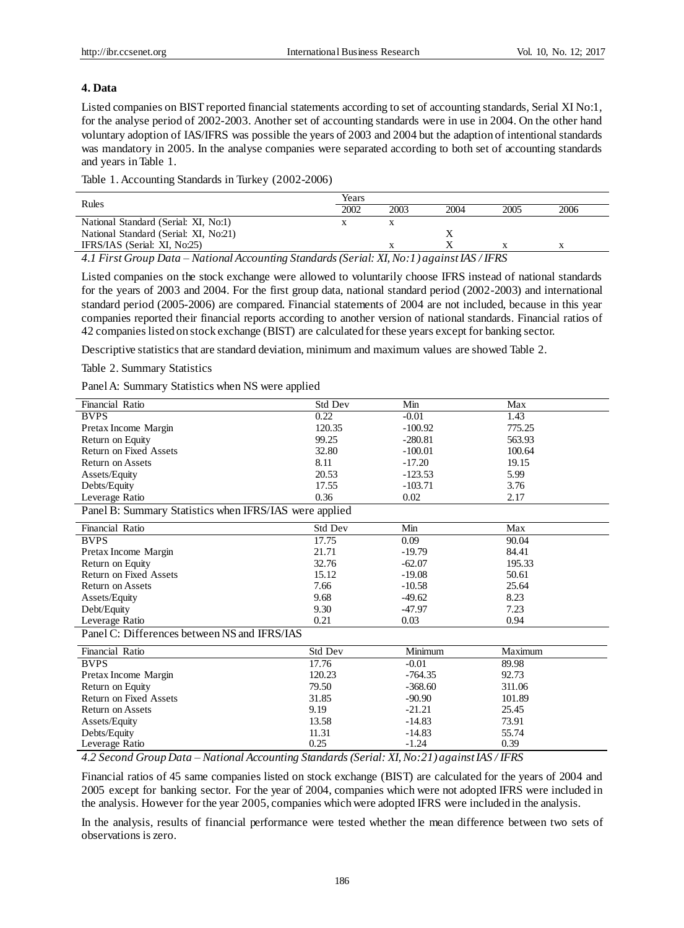## **4. Data**

Listed companies on BIST reported financial statements according to set of accounting standards, Serial XI No:1, for the analyse period of 2002-2003. Another set of accounting standards were in use in 2004. On the other hand voluntary adoption of IAS/IFRS was possible the years of 2003 and 2004 but the adaption of intentional standards was mandatory in 2005. In the analyse companies were separated according to both set of accounting standards and years in Table 1.

Table 1. Accounting Standards in Turkey (2002-2006)

| Rules                                 | Years |      |      |      |      |  |
|---------------------------------------|-------|------|------|------|------|--|
|                                       | 2002  | 2003 | 2004 | 2005 | 2006 |  |
| National Standard (Serial: XI, No:1)  |       |      |      |      |      |  |
| National Standard (Serial: XI, No:21) |       |      |      |      |      |  |
| IFRS/IAS (Serial: XI, No:25)          |       |      |      |      |      |  |
|                                       |       |      |      |      |      |  |

*4.1 First Group Data – National Accounting Standards (Serial: XI, No:1) against IAS / IFRS* 

Listed companies on the stock exchange were allowed to voluntarily choose IFRS instead of national standards for the years of 2003 and 2004. For the first group data, national standard period (2002-2003) and international standard period (2005-2006) are compared. Financial statements of 2004 are not included, because in this year companies reported their financial reports according to another version of national standards. Financial ratios of 42 companies listed on stock exchange (BIST) are calculated for these years except for banking sector.

Descriptive statistics that are standard deviation, minimum and maximum values are showed Table 2.

Table 2. Summary Statistics

Panel A: Summary Statistics when NS were applied

| Financial Ratio                                        | <b>Std Dev</b> | Min       | Max     |
|--------------------------------------------------------|----------------|-----------|---------|
| <b>BVPS</b>                                            | 0.22           | $-0.01$   | 1.43    |
| Pretax Income Margin                                   | 120.35         | $-100.92$ | 775.25  |
| Return on Equity                                       | 99.25          | $-280.81$ | 563.93  |
| <b>Return on Fixed Assets</b>                          | 32.80          | $-100.01$ | 100.64  |
| <b>Return on Assets</b>                                | 8.11           | $-17.20$  | 19.15   |
| Assets/Equity                                          | 20.53          | $-123.53$ | 5.99    |
| Debts/Equity                                           | 17.55          | $-103.71$ | 3.76    |
| Leverage Ratio                                         | 0.36           | 0.02      | 2.17    |
| Panel B: Summary Statistics when IFRS/IAS were applied |                |           |         |
| Financial Ratio                                        | Std Dev        | Min       | Max     |
| <b>BVPS</b>                                            | 17.75          | 0.09      | 90.04   |
| Pretax Income Margin                                   | 21.71          | $-19.79$  | 84.41   |
| Return on Equity                                       | 32.76          | $-62.07$  | 195.33  |
| <b>Return on Fixed Assets</b>                          | 15.12          | $-19.08$  | 50.61   |
| <b>Return on Assets</b>                                | 7.66           | $-10.58$  | 25.64   |
| Assets/Equity                                          | 9.68           | $-49.62$  | 8.23    |
| Debt/Equity                                            | 9.30           | $-47.97$  | 7.23    |
| Leverage Ratio                                         | 0.21           | 0.03      | 0.94    |
| Panel C: Differences between NS and IFRS/IAS           |                |           |         |
| Financial Ratio                                        | Std Dev        | Minimum   | Maximum |
| <b>BVPS</b>                                            | 17.76          | $-0.01$   | 89.98   |
| Pretax Income Margin                                   | 120.23         | $-764.35$ | 92.73   |
| Return on Equity                                       | 79.50          | $-368.60$ | 311.06  |
| <b>Return on Fixed Assets</b>                          | 31.85          | $-90.90$  | 101.89  |
| <b>Return on Assets</b>                                | 9.19           | $-21.21$  | 25.45   |
| Assets/Equity                                          | 13.58          | $-14.83$  | 73.91   |
| Debts/Equity                                           | 11.31          | $-14.83$  | 55.74   |
| Leverage Ratio                                         | 0.25           | $-1.24$   | 0.39    |

*4.2 Second Group Data – National Accounting Standards (Serial: XI, No:21) against IAS / IFRS*

Financial ratios of 45 same companies listed on stock exchange (BIST) are calculated for the years of 2004 and 2005 except for banking sector. For the year of 2004, companies which were not adopted IFRS were included in the analysis. However for the year 2005, companies which were adopted IFRS were included in the analysis.

In the analysis, results of financial performance were tested whether the mean difference between two sets of observations is zero.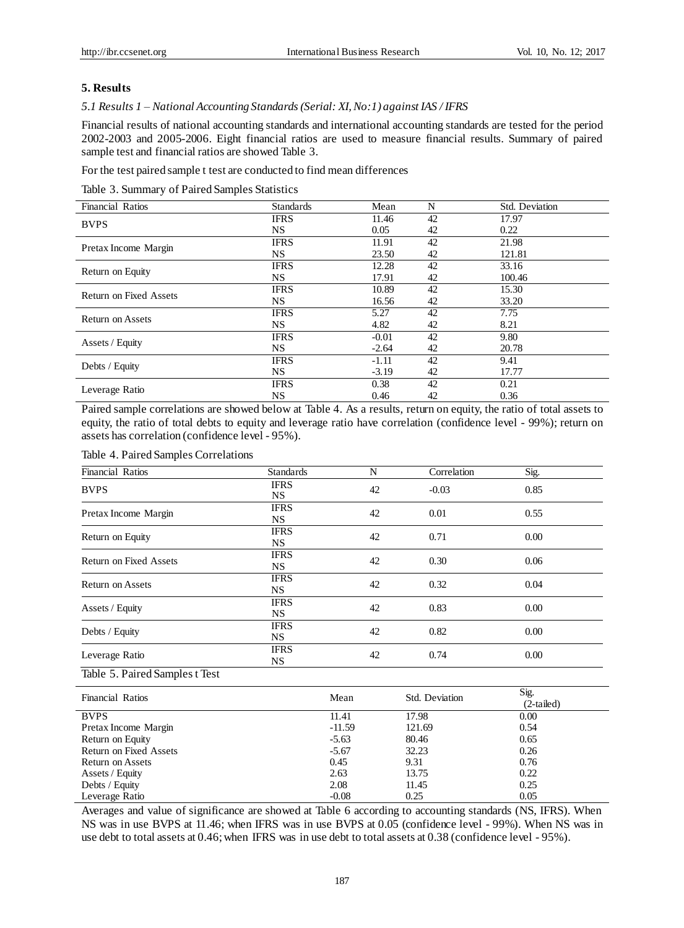## **5. Results**

*5.1 Results 1 – National Accounting Standards (Serial: XI, No:1) against IAS / IFRS*

Financial results of national accounting standards and international accounting standards are tested for the period 2002-2003 and 2005-2006. Eight financial ratios are used to measure financial results. Summary of paired sample test and financial ratios are showed Table 3.

For the test paired sample t test are conducted to find mean differences

Table 3. Summary of Paired Samples Statistics

| <b>Financial Ratios</b> | <b>Standards</b> | Mean    | N  | Std. Deviation |
|-------------------------|------------------|---------|----|----------------|
| <b>BVPS</b>             | <b>IFRS</b>      | 11.46   | 42 | 17.97          |
|                         | <b>NS</b>        | 0.05    | 42 | 0.22           |
|                         | <b>IFRS</b>      | 11.91   | 42 | 21.98          |
| Pretax Income Margin    | <b>NS</b>        | 23.50   | 42 | 121.81         |
|                         | <b>IFRS</b>      | 12.28   | 42 | 33.16          |
| Return on Equity        | <b>NS</b>        | 17.91   | 42 | 100.46         |
| Return on Fixed Assets  | <b>IFRS</b>      | 10.89   | 42 | 15.30          |
|                         | NS.              | 16.56   | 42 | 33.20          |
|                         | <b>IFRS</b>      | 5.27    | 42 | 7.75           |
| <b>Return on Assets</b> | <b>NS</b>        | 4.82    | 42 | 8.21           |
| Assets / Equity         | <b>IFRS</b>      | $-0.01$ | 42 | 9.80           |
|                         | NS.              | $-2.64$ | 42 | 20.78          |
|                         | <b>IFRS</b>      | $-1.11$ | 42 | 9.41           |
| Debts / Equity          | NS.              | $-3.19$ | 42 | 17.77          |
|                         | <b>IFRS</b>      | 0.38    | 42 | 0.21           |
| Leverage Ratio          | <b>NS</b>        | 0.46    | 42 | 0.36           |

Paired sample correlations are showed below at Table 4. As a results, return on equity, the ratio of total assets to equity, the ratio of total debts to equity and leverage ratio have correlation (confidence level - 99%); return on assets has correlation (confidence level - 95%).

| Financial Ratios        | <b>Standards</b>         | N  | Correlation | Sig. |
|-------------------------|--------------------------|----|-------------|------|
| <b>BVPS</b>             | <b>IFRS</b><br>NS.       | 42 | $-0.03$     | 0.85 |
| Pretax Income Margin    | <b>IFRS</b><br>NS.       | 42 | 0.01        | 0.55 |
| Return on Equity        | <b>IFRS</b><br><b>NS</b> | 42 | 0.71        | 0.00 |
| Return on Fixed Assets  | <b>IFRS</b><br>NS.       | 42 | 0.30        | 0.06 |
| <b>Return on Assets</b> | <b>IFRS</b><br>NS.       | 42 | 0.32        | 0.04 |
| Assets / Equity         | <b>IFRS</b><br><b>NS</b> | 42 | 0.83        | 0.00 |
| Debts / Equity          | <b>IFRS</b><br>NS.       | 42 | 0.82        | 0.00 |
| Leverage Ratio          | <b>IFRS</b><br>NS.       | 42 | 0.74        | 0.00 |

## Table 4. Paired Samples Correlations

Table 5. Paired Samples t Test

| <b>Financial Ratios</b> | Mean     | Std. Deviation | Sig.<br>$(2-tailed)$ |
|-------------------------|----------|----------------|----------------------|
| <b>BVPS</b>             | 11.41    | 17.98          | 0.00                 |
| Pretax Income Margin    | $-11.59$ | 121.69         | 0.54                 |
| Return on Equity        | $-5.63$  | 80.46          | 0.65                 |
| Return on Fixed Assets  | $-5.67$  | 32.23          | 0.26                 |
| <b>Return on Assets</b> | 0.45     | 9.31           | 0.76                 |
| Assets / Equity         | 2.63     | 13.75          | 0.22                 |
| Debts / Equity          | 2.08     | 11.45          | 0.25                 |
| Leverage Ratio          | $-0.08$  | 0.25           | 0.05                 |

Averages and value of significance are showed at Table 6 according to accounting standards (NS, IFRS). When NS was in use BVPS at 11.46; when IFRS was in use BVPS at 0.05 (confidence level - 99%). When NS was in use debt to total assets at 0.46; when IFRS was in use debt to total assets at 0.38 (confidence level - 95%).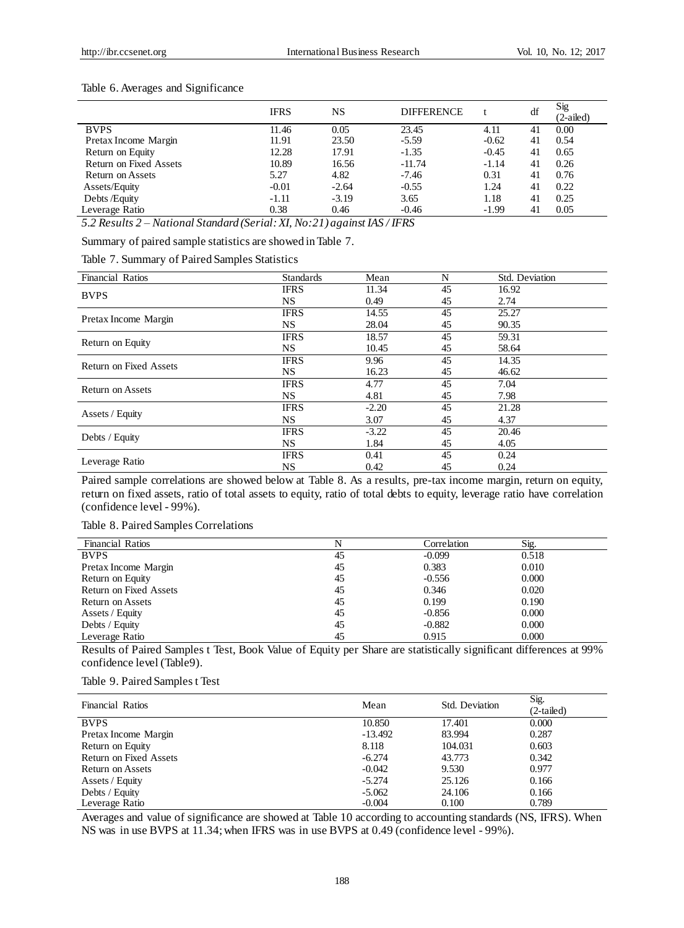#### Table 6. Averages and Significance

|                         | <b>IFRS</b> | NS      | <b>DIFFERENCE</b> |         | df | Sig<br>(2-ailed) |
|-------------------------|-------------|---------|-------------------|---------|----|------------------|
| <b>BVPS</b>             | 11.46       | 0.05    | 23.45             | 4.11    | 41 | 0.00             |
| Pretax Income Margin    | 11.91       | 23.50   | $-5.59$           | $-0.62$ | 41 | 0.54             |
| Return on Equity        | 12.28       | 17.91   | $-1.35$           | $-0.45$ | 41 | 0.65             |
| Return on Fixed Assets  | 10.89       | 16.56   | $-11.74$          | $-1.14$ | 41 | 0.26             |
| <b>Return on Assets</b> | 5.27        | 4.82    | $-7.46$           | 0.31    | 41 | 0.76             |
| Assets/Equity           | $-0.01$     | $-2.64$ | $-0.55$           | 1.24    | 41 | 0.22             |
| Debts/Equity            | $-1.11$     | $-3.19$ | 3.65              | 1.18    | 41 | 0.25             |
| Leverage Ratio          | 0.38        | 0.46    | $-0.46$           | $-1.99$ | 41 | 0.05             |

*5.2 Results 2 – National Standard (Serial: XI, No:21) against IAS / IFRS*

Summary of paired sample statistics are showed in Table 7.

Table 7. Summary of Paired Samples Statistics

| Financial Ratios              | <b>Standards</b> | Mean    | N  | Std. Deviation |
|-------------------------------|------------------|---------|----|----------------|
| <b>BVPS</b>                   | <b>IFRS</b>      | 11.34   | 45 | 16.92          |
|                               | NS.              | 0.49    | 45 | 2.74           |
|                               | <b>IFRS</b>      | 14.55   | 45 | 25.27          |
| Pretax Income Margin          | NS.              | 28.04   | 45 | 90.35          |
|                               | <b>IFRS</b>      | 18.57   | 45 | 59.31          |
| Return on Equity              | NS.              | 10.45   | 45 | 58.64          |
| <b>Return on Fixed Assets</b> | <b>IFRS</b>      | 9.96    | 45 | 14.35          |
|                               | NS.              | 16.23   | 45 | 46.62          |
| <b>Return on Assets</b>       | <b>IFRS</b>      | 4.77    | 45 | 7.04           |
|                               | NS.              | 4.81    | 45 | 7.98           |
|                               | <b>IFRS</b>      | $-2.20$ | 45 | 21.28          |
| Assets / Equity               | NS.              | 3.07    | 45 | 4.37           |
| Debts / Equity                | <b>IFRS</b>      | $-3.22$ | 45 | 20.46          |
|                               | NS.              | 1.84    | 45 | 4.05           |
|                               | <b>IFRS</b>      | 0.41    | 45 | 0.24           |
| Leverage Ratio                | NS.              | 0.42    | 45 | 0.24           |

Paired sample correlations are showed below at Table 8. As a results, pre-tax income margin, return on equity, return on fixed assets, ratio of total assets to equity, ratio of total debts to equity, leverage ratio have correlation (confidence level - 99%).

#### Table 8. Paired Samples Correlations

| Financial Ratios        | N  | Correlation | Sig.  |  |
|-------------------------|----|-------------|-------|--|
| <b>BVPS</b>             | 45 | $-0.099$    | 0.518 |  |
| Pretax Income Margin    | 45 | 0.383       | 0.010 |  |
| Return on Equity        | 45 | $-0.556$    | 0.000 |  |
| Return on Fixed Assets  | 45 | 0.346       | 0.020 |  |
| <b>Return on Assets</b> | 45 | 0.199       | 0.190 |  |
| Assets / Equity         | 45 | $-0.856$    | 0.000 |  |
| Debts / Equity          | 45 | $-0.882$    | 0.000 |  |
| Leverage Ratio          | 45 | 0.915       | 0.000 |  |

Results of Paired Samples t Test, Book Value of Equity per Share are statistically significant differences at 99% confidence level (Table9).

#### Table 9. Paired Samples t Test

| <b>Financial Ratios</b> | Mean      | Std. Deviation | Sig.<br>$(2-tailed)$ |
|-------------------------|-----------|----------------|----------------------|
| <b>BVPS</b>             | 10.850    | 17.401         | 0.000                |
| Pretax Income Margin    | $-13.492$ | 83.994         | 0.287                |
| Return on Equity        | 8.118     | 104.031        | 0.603                |
| Return on Fixed Assets  | $-6.274$  | 43.773         | 0.342                |
| <b>Return on Assets</b> | $-0.042$  | 9.530          | 0.977                |
| Assets / Equity         | $-5.274$  | 25.126         | 0.166                |
| Debts / Equity          | $-5.062$  | 24.106         | 0.166                |
| Leverage Ratio          | $-0.004$  | 0.100          | 0.789                |

Averages and value of significance are showed at Table 10 according to accounting standards (NS, IFRS). When NS was in use BVPS at 11.34; when IFRS was in use BVPS at 0.49 (confidence level - 99%).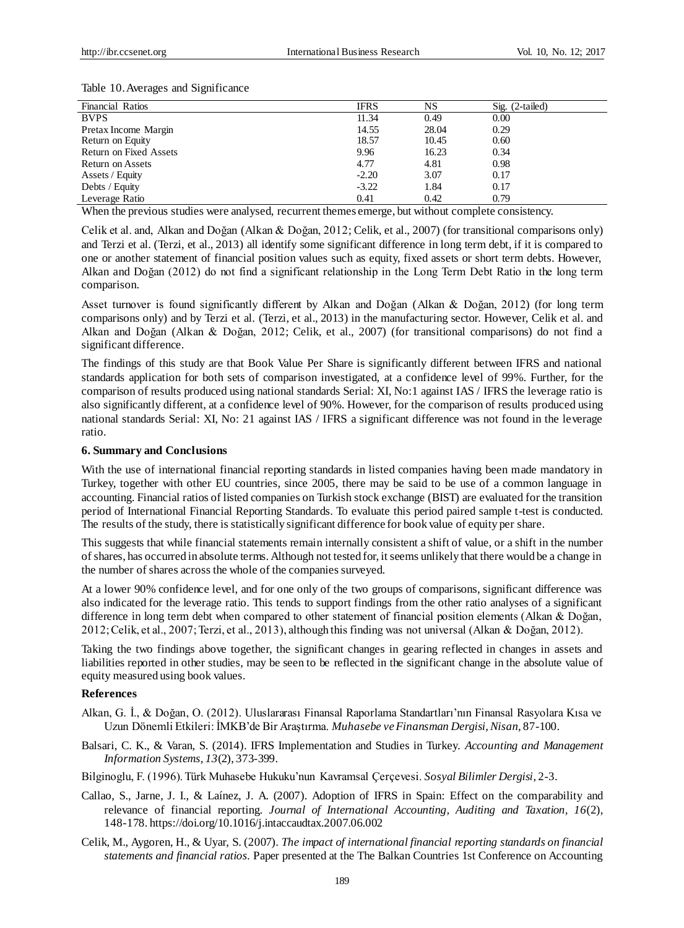| <b>Financial Ratios</b> | <b>IFRS</b> | NS    | $Sig.$ (2-tailed) |
|-------------------------|-------------|-------|-------------------|
| <b>BVPS</b>             | 11.34       | 0.49  | 0.00              |
| Pretax Income Margin    | 14.55       | 28.04 | 0.29              |
| Return on Equity        | 18.57       | 10.45 | 0.60              |
| Return on Fixed Assets  | 9.96        | 16.23 | 0.34              |
| Return on Assets        | 4.77        | 4.81  | 0.98              |
| Assets / Equity         | $-2.20$     | 3.07  | 0.17              |
| Debts / Equity          | $-3.22$     | 1.84  | 0.17              |
| Leverage Ratio          | 0.41        | 0.42  | 0.79              |

Table 10.Averages and Significance

When the previous studies were analysed, recurrent themes emerge, but without complete consistency.

Celik et al. and, Alkan and Doğan [\(Alkan & Doğan, 2012;](#page-6-4) [Celik, et al., 2007\)](#page-6-3) (for transitional comparisons only) and Terzi et al. [\(Terzi, et al., 2013\)](#page-7-10) all identify some significant difference in long term debt, if it is compared to one or another statement of financial position values such as equity, fixed assets or short term debts. However, Alkan and Doğan (2012) do not find a significant relationship in the Long Term Debt Ratio in the long term comparison.

Asset turnover is found significantly different by Alkan and Doğan [\(Alkan & Doğan, 2012\)](#page-6-4) (for long term comparisons only) and by Terzi et al. [\(Terzi, et al., 2013\)](#page-7-10) in the manufacturing sector. However, Celik et al. and Alkan and Doğan [\(Alkan & Doğan, 2012;](#page-6-4) [Celik, et al., 2007\)](#page-6-3) (for transitional comparisons) do not find a significant difference.

The findings of this study are that Book Value Per Share is significantly different between IFRS and national standards application for both sets of comparison investigated, at a confidence level of 99%. Further, for the comparison of results produced using national standards Serial: XI, No:1 against IAS / IFRS the leverage ratio is also significantly different, at a confidence level of 90%. However, for the comparison of results produced using national standards Serial: XI, No: 21 against IAS / IFRS a significant difference was not found in the leverage ratio.

#### **6. Summary and Conclusions**

With the use of international financial reporting standards in listed companies having been made mandatory in Turkey, together with other EU countries, since 2005, there may be said to be use of a common language in accounting. Financial ratios of listed companies on Turkish stock exchange (BIST) are evaluated for the transition period of International Financial Reporting Standards. To evaluate this period paired sample t-test is conducted. The results of the study, there is statistically significant difference for book value of equity per share.

This suggests that while financial statements remain internally consistent a shift of value, or a shift in the number of shares, has occurred in absolute terms. Although not tested for, it seems unlikely that there would be a change in the number of shares across the whole of the companies surveyed.

At a lower 90% confidence level, and for one only of the two groups of comparisons, significant difference was also indicated for the leverage ratio. This tends to support findings from the other ratio analyses of a significant difference in long term debt when compared to other statement of financial position elements (Alkan & Doğan, 2012; Celik, et al., 2007; Terzi, et al., 2013), although this finding was not universal (Alkan & Doğan, 2012).

Taking the two findings above together, the significant changes in gearing reflected in changes in assets and liabilities reported in other studies, may be seen to be reflected in the significant change in the absolute value of equity measured using book values.

#### **References**

- <span id="page-6-4"></span>Alkan, G. İ., & Doğan, O. (2012). Uluslararası Finansal Raporlama Standartları'nın Finansal Rasyolara Kısa ve Uzun Dönemli Etkileri: İMKB'de Bir Araştırma. *Muhasebe ve Finansman Dergisi, Nisan*, 87-100.
- <span id="page-6-2"></span>Balsari, C. K., & Varan, S. (2014). IFRS Implementation and Studies in Turkey. *Accounting and Management Information Systems, 13*(2), 373-399.
- <span id="page-6-0"></span>Bilginoglu, F. (1996). Türk Muhasebe Hukuku'nun Kavramsal Çerçevesi. *Sosyal Bilimler Dergisi*, 2-3.
- <span id="page-6-1"></span>Callao, S., Jarne, J. I., & Laínez, J. A. (2007). Adoption of IFRS in Spain: Effect on the comparability and relevance of financial reporting. *Journal of International Accounting, Auditing and Taxation, 16*(2), 148-178. https://doi.org/10.1016/j.intaccaudtax.2007.06.002
- <span id="page-6-3"></span>Celik, M., Aygoren, H., & Uyar, S. (2007). *The impact of international financial reporting standards on financial statements and financial ratios.* Paper presented at the The Balkan Countries 1st Conference on Accounting